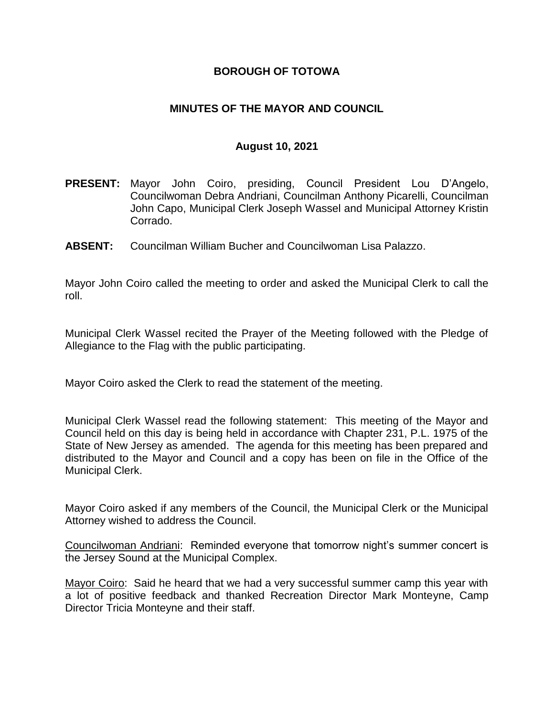## **BOROUGH OF TOTOWA**

## **MINUTES OF THE MAYOR AND COUNCIL**

#### **August 10, 2021**

- **PRESENT:** Mayor John Coiro, presiding, Council President Lou D'Angelo, Councilwoman Debra Andriani, Councilman Anthony Picarelli, Councilman John Capo, Municipal Clerk Joseph Wassel and Municipal Attorney Kristin Corrado.
- **ABSENT:** Councilman William Bucher and Councilwoman Lisa Palazzo.

Mayor John Coiro called the meeting to order and asked the Municipal Clerk to call the roll.

Municipal Clerk Wassel recited the Prayer of the Meeting followed with the Pledge of Allegiance to the Flag with the public participating.

Mayor Coiro asked the Clerk to read the statement of the meeting.

Municipal Clerk Wassel read the following statement: This meeting of the Mayor and Council held on this day is being held in accordance with Chapter 231, P.L. 1975 of the State of New Jersey as amended. The agenda for this meeting has been prepared and distributed to the Mayor and Council and a copy has been on file in the Office of the Municipal Clerk.

Mayor Coiro asked if any members of the Council, the Municipal Clerk or the Municipal Attorney wished to address the Council.

Councilwoman Andriani: Reminded everyone that tomorrow night's summer concert is the Jersey Sound at the Municipal Complex.

Mayor Coiro: Said he heard that we had a very successful summer camp this year with a lot of positive feedback and thanked Recreation Director Mark Monteyne, Camp Director Tricia Monteyne and their staff.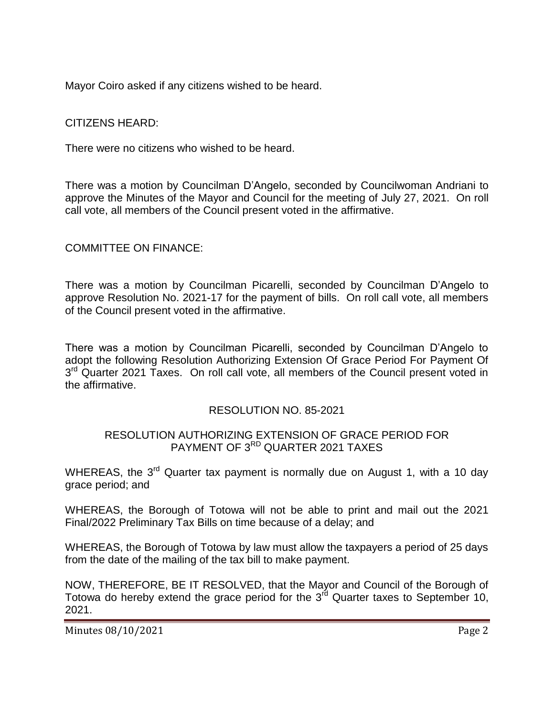Mayor Coiro asked if any citizens wished to be heard.

CITIZENS HEARD:

There were no citizens who wished to be heard.

There was a motion by Councilman D'Angelo, seconded by Councilwoman Andriani to approve the Minutes of the Mayor and Council for the meeting of July 27, 2021. On roll call vote, all members of the Council present voted in the affirmative.

# COMMITTEE ON FINANCE:

There was a motion by Councilman Picarelli, seconded by Councilman D'Angelo to approve Resolution No. 2021-17 for the payment of bills. On roll call vote, all members of the Council present voted in the affirmative.

There was a motion by Councilman Picarelli, seconded by Councilman D'Angelo to adopt the following Resolution Authorizing Extension Of Grace Period For Payment Of 3<sup>rd</sup> Quarter 2021 Taxes. On roll call vote, all members of the Council present voted in the affirmative.

#### RESOLUTION NO. 85-2021

# RESOLUTION AUTHORIZING EXTENSION OF GRACE PERIOD FOR PAYMENT OF 3<sup>RD</sup> QUARTER 2021 TAXES

WHEREAS, the 3<sup>rd</sup> Quarter tax payment is normally due on August 1, with a 10 day grace period; and

WHEREAS, the Borough of Totowa will not be able to print and mail out the 2021 Final/2022 Preliminary Tax Bills on time because of a delay; and

WHEREAS, the Borough of Totowa by law must allow the taxpayers a period of 25 days from the date of the mailing of the tax bill to make payment.

NOW, THEREFORE, BE IT RESOLVED, that the Mayor and Council of the Borough of Totowa do hereby extend the grace period for the  $3<sup>rd</sup>$  Quarter taxes to September 10, 2021.

Minutes 08/10/2021 **Page 2**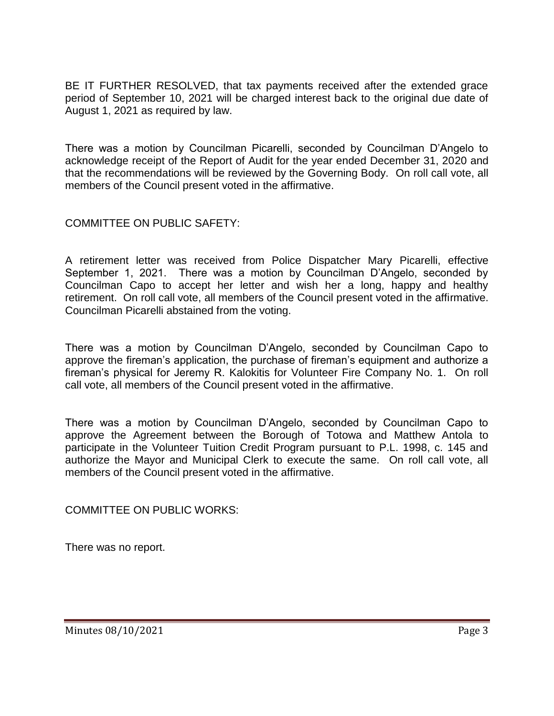BE IT FURTHER RESOLVED, that tax payments received after the extended grace period of September 10, 2021 will be charged interest back to the original due date of August 1, 2021 as required by law.

There was a motion by Councilman Picarelli, seconded by Councilman D'Angelo to acknowledge receipt of the Report of Audit for the year ended December 31, 2020 and that the recommendations will be reviewed by the Governing Body. On roll call vote, all members of the Council present voted in the affirmative.

## COMMITTEE ON PUBLIC SAFETY:

A retirement letter was received from Police Dispatcher Mary Picarelli, effective September 1, 2021. There was a motion by Councilman D'Angelo, seconded by Councilman Capo to accept her letter and wish her a long, happy and healthy retirement. On roll call vote, all members of the Council present voted in the affirmative. Councilman Picarelli abstained from the voting.

There was a motion by Councilman D'Angelo, seconded by Councilman Capo to approve the fireman's application, the purchase of fireman's equipment and authorize a fireman's physical for Jeremy R. Kalokitis for Volunteer Fire Company No. 1. On roll call vote, all members of the Council present voted in the affirmative.

There was a motion by Councilman D'Angelo, seconded by Councilman Capo to approve the Agreement between the Borough of Totowa and Matthew Antola to participate in the Volunteer Tuition Credit Program pursuant to P.L. 1998, c. 145 and authorize the Mayor and Municipal Clerk to execute the same. On roll call vote, all members of the Council present voted in the affirmative.

COMMITTEE ON PUBLIC WORKS:

There was no report.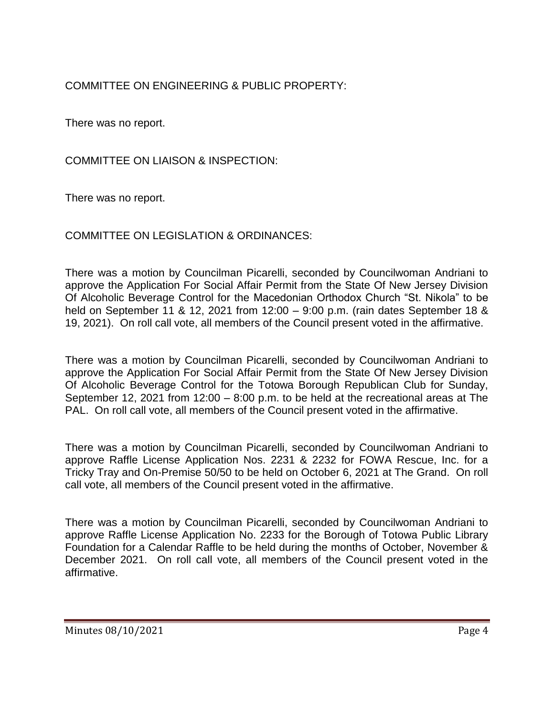# COMMITTEE ON ENGINEERING & PUBLIC PROPERTY:

There was no report.

COMMITTEE ON LIAISON & INSPECTION:

There was no report.

# COMMITTEE ON LEGISLATION & ORDINANCES:

There was a motion by Councilman Picarelli, seconded by Councilwoman Andriani to approve the Application For Social Affair Permit from the State Of New Jersey Division Of Alcoholic Beverage Control for the Macedonian Orthodox Church "St. Nikola" to be held on September 11 & 12, 2021 from 12:00 – 9:00 p.m. (rain dates September 18 & 19, 2021). On roll call vote, all members of the Council present voted in the affirmative.

There was a motion by Councilman Picarelli, seconded by Councilwoman Andriani to approve the Application For Social Affair Permit from the State Of New Jersey Division Of Alcoholic Beverage Control for the Totowa Borough Republican Club for Sunday, September 12, 2021 from 12:00 – 8:00 p.m. to be held at the recreational areas at The PAL. On roll call vote, all members of the Council present voted in the affirmative.

There was a motion by Councilman Picarelli, seconded by Councilwoman Andriani to approve Raffle License Application Nos. 2231 & 2232 for FOWA Rescue, Inc. for a Tricky Tray and On-Premise 50/50 to be held on October 6, 2021 at The Grand. On roll call vote, all members of the Council present voted in the affirmative.

There was a motion by Councilman Picarelli, seconded by Councilwoman Andriani to approve Raffle License Application No. 2233 for the Borough of Totowa Public Library Foundation for a Calendar Raffle to be held during the months of October, November & December 2021. On roll call vote, all members of the Council present voted in the affirmative.